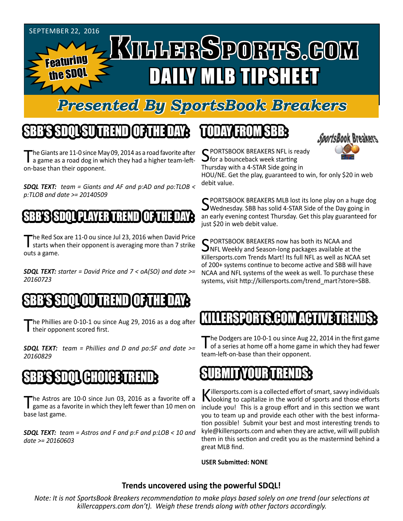

# *Presented By SportsBook Breakers*

# SBB'S SDQL SU TREND OF THE DAY:

The Giants are 11-0 since May 09, 2014 as a road favorite after<br>a game as a road dog in which they had a higher team-lefton-base than their opponent.

*SDQL TEXT: team = Giants and AF and p:AD and po:TLOB < p:TLOB and date >= 20140509*

### SBB'S SDQLPLAYER TREND OF THE DAY:

The Red Sox are 11-0 ou since Jul 23, 2016 when David Price<br>starts when their opponent is averaging more than 7 strike outs a game.

*SDQL TEXT: starter = David Price and 7 < oA(SO) and date >= 20160723*

### SBB'S SDQLOU TREND OF THE DAY:

The Phillies are 0-10-1 ou since Aug 29, 2016 as a dog after I their opponent scored first.

*SDQL TEXT: team = Phillies and D and po:SF and date >= 20160829*

#### SBB'S SDQL CHOICE TREND

The Astros are 10-0 since Jun 03, 2016 as a favorite off a game as a favorite in which they left fewer than 10 men on base last game.

*SDQL TEXT: team = Astros and F and p:F and p:LOB < 10 and date >= 20160603*

# TODAY HAOMSBB



C PORTSBOOK BREAKERS NFL is ready  $\mathbf{\mathcal{S}}$  for a bounceback week starting Thursday with a 4-STAR Side going in

HOU/NE. Get the play, guaranteed to win, for only \$20 in web debit value.

SPORTSBOOK BREAKERS MLB lost its lone play on a huge dog<br>SWednesday. SBB has solid 4-STAR Side of the Day going in an early evening contest Thursday. Get this play guaranteed for just \$20 in web debit value.

SPORTSBOOK BREAKERS now has both its NCAA and<br>NFL Weekly and Season-long packages available at the Killersports.com Trends Mart! Its full NFL as well as NCAA set of 200+ systems continue to become active and SBB will have NCAA and NFL systems of the week as well. To purchase these systems, visit http://killersports.com/trend\_mart?store=SBB.

# KILLER:KY 2013 KYLHON ACHI

The Dodgers are 10-0-1 ou since Aug 22, 2014 in the first game<br>of a series at home off a home game in which they had fewer team-left-on-base than their opponent.



Killersports.com is a collected effort of smart, savvy individuals<br>Nooking to capitalize in the world of sports and those efforts include you! This is a group effort and in this section we want you to team up and provide each other with the best information possible! Submit your best and most interesting trends to kyle@killersports.com and when they are active, will will publish them in this section and credit you as the mastermind behind a great MLB find.

**USER Submitted: NONE**

#### **Trends uncovered using the powerful SDQL!**

*Note: It is not SportsBook Breakers recommendation to make plays based solely on one trend (our selections at killercappers.com don't). Weigh these trends along with other factors accordingly.*